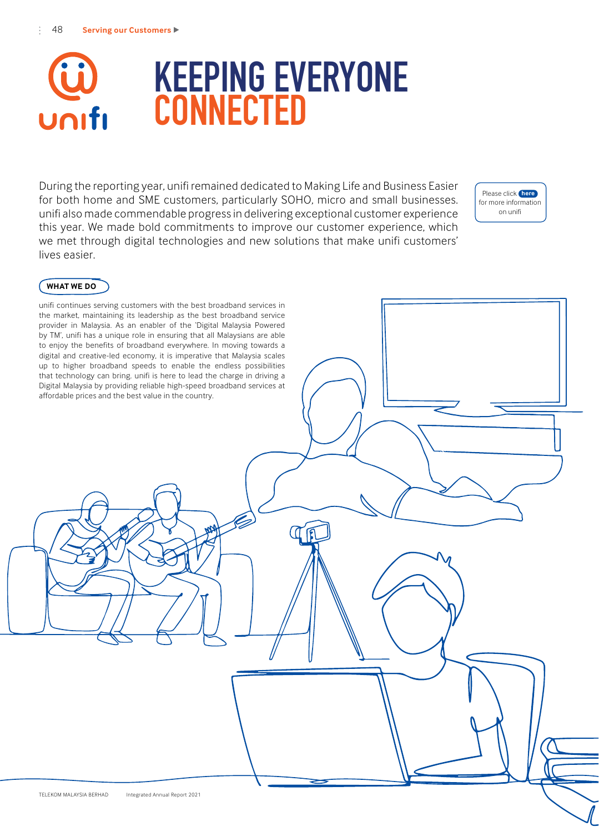# KEEPING EVERYONE **CONNECTED** unifi

During the reporting year, unifi remained dedicated to Making Life and Business Easier for both home and SME customers, particularly SOHO, micro and small businesses. unifi also made commendable progress in delivering exceptional customer experience this year. We made bold commitments to improve our customer experience, which we met through digital technologies and new solutions that make unifi customers' lives easier.

Please click **here** for more information on unifi

### **WHAT WE DO**

unifi continues serving customers with the best broadband services in the market, maintaining its leadership as the best broadband service provider in Malaysia. As an enabler of the 'Digital Malaysia Powered by TM', unifi has a unique role in ensuring that all Malaysians are able to enjoy the benefits of broadband everywhere. In moving towards a digital and creative-led economy, it is imperative that Malaysia scales up to higher broadband speeds to enable the endless possibilities that technology can bring. unifi is here to lead the charge in driving a Digital Malaysia by providing reliable high-speed broadband services at affordable prices and the best value in the country.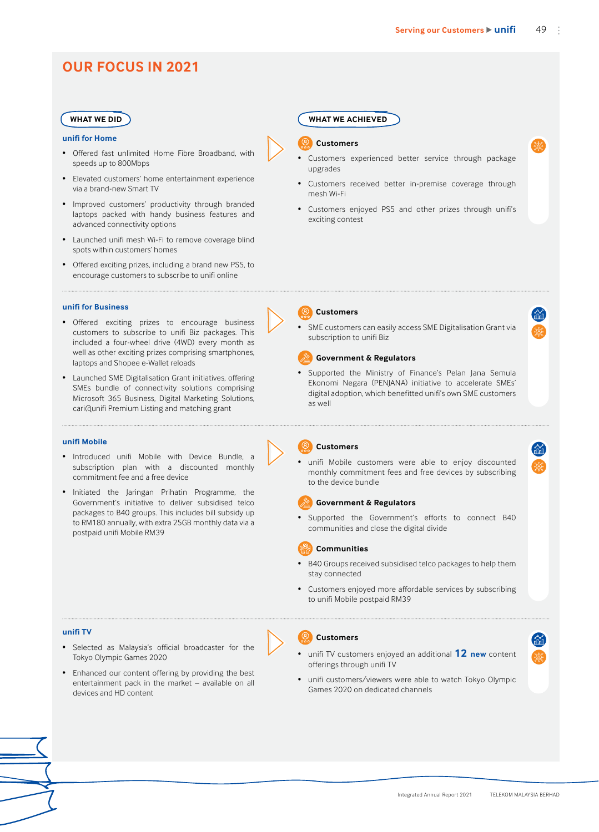# **OUR FOCUS IN 2021**

#### **unifi for Home**

- Offered fast unlimited Home Fibre Broadband, with speeds up to 800Mbps
- Elevated customers' home entertainment experience via a brand-new Smart TV
- Improved customers' productivity through branded laptops packed with handy business features and advanced connectivity options
- Launched unifi mesh Wi-Fi to remove coverage blind spots within customers' homes
- Offered exciting prizes, including a brand new PS5, to encourage customers to subscribe to unifi online

#### **unifi for Business**

- Offered exciting prizes to encourage business customers to subscribe to unifi Biz packages. This included a four-wheel drive (4WD) every month as well as other exciting prizes comprising smartphones, laptops and Shopee e-Wallet reloads
- Launched SME Digitalisation Grant initiatives, offering SMEs bundle of connectivity solutions comprising Microsoft 365 Business, Digital Marketing Solutions, cari@unifi Premium Listing and matching grant

#### **unifi Mobile**

- Introduced unifi Mobile with Device Bundle, a subscription plan with a discounted monthly commitment fee and a free device
- Initiated the Jaringan Prihatin Programme, the Government's initiative to deliver subsidised telco packages to B40 groups. This includes bill subsidy up to RM180 annually, with extra 25GB monthly data via a postpaid unifi Mobile RM39

#### **unifi TV**

- Selected as Malaysia's official broadcaster for the Tokyo Olympic Games 2020
- Enhanced our content offering by providing the best entertainment pack in the market – available on all devices and HD content





- Customers experienced better service through package upgrades
- Customers received better in-premise coverage through mesh Wi-Fi
- Customers enjoyed PS5 and other prizes through unifi's exciting contest

**Customers**

SME customers can easily access SME Digitalisation Grant via subscription to unifi Biz



#### **Government & Regulators**

Supported the Ministry of Finance's Pelan Jana Semula Ekonomi Negara (PENJANA) initiative to accelerate SMEs' digital adoption, which benefitted unifi's own SME customers as well

#### **Customers**

unifi Mobile customers were able to enjoy discounted monthly commitment fees and free devices by subscribing to the device bundle

### **Government & Regulators**

Supported the Government's efforts to connect B40 communities and close the digital divide

#### **Communities**

- B40 Groups received subsidised telco packages to help them stay connected
- Customers enjoyed more affordable services by subscribing to unifi Mobile postpaid RM39

#### **Customers**

- unifi TV customers enjoyed an additional **12 new** content offerings through unifi TV
- unifi customers/viewers were able to watch Tokyo Olympic Games 2020 on dedicated channels

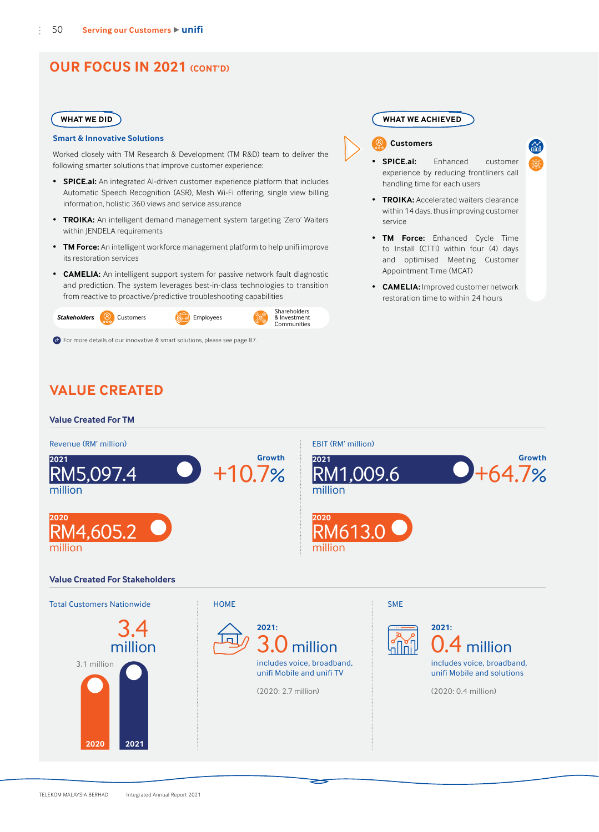# **OUR FOCUS IN 2021 (CONT'D)**

#### **Smart & Innovative Solutions**

Worked closely with TM Research & Development (TM R&D) team to deliver the following smarter solutions that improve customer experience:

- **SPICE.ai:** An integrated AI-driven customer experience platform that includes Automatic Speech Recognition (ASR), Mesh Wi-Fi offering, single view billing information, holistic 360 views and service assurance
- **TROIKA:** An intelligent demand management system targeting 'Zero' Waiters within JENDELA requirements
- **TM Force:** An intelligent workforce management platform to help unifi improve its restoration services
- **CAMELIA:** An intelligent support system for passive network fault diagnostic and prediction. The system leverages best-in-class technologies to transition from reactive to proactive/predictive troubleshooting capabilities



For more details of our innovative & smart solutions, please see page 87.

# **VALUE CREATED**



#### **Customers**

- **SPICE.ai:** Enhanced customer experience by reducing frontliners call handling time for each users
- **TROIKA:** Accelerated waiters clearance within 14 days, thus improving customer service
- **TM Force:** Enhanced Cycle Time to Install (CTTI) within four (4) days and optimised Meeting Customer Appointment Time (MCAT)
- **CAMELIA:** Improved customer network restoration time to within 24 hours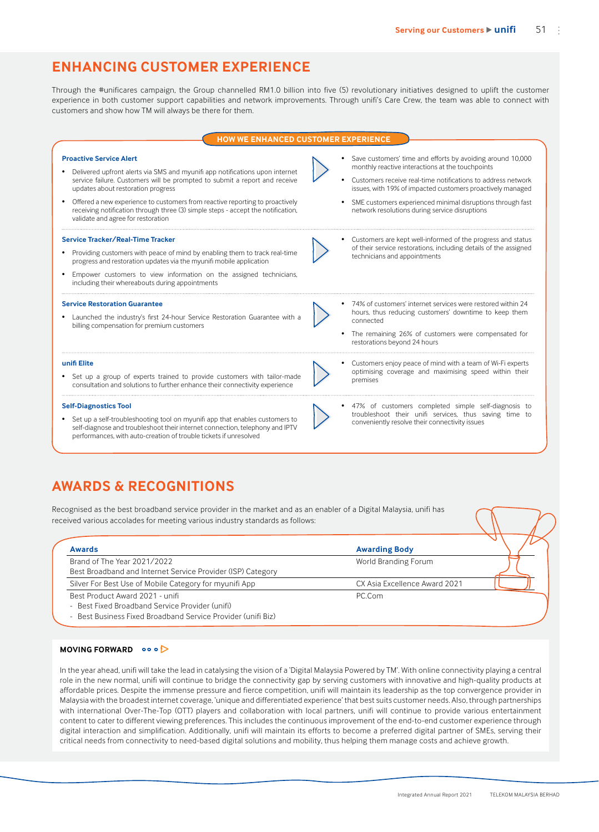# **ENHANCING CUSTOMER EXPERIENCE**

Through the #unificares campaign, the Group channelled RM1.0 billion into five (5) revolutionary initiatives designed to uplift the customer experience in both customer support capabilities and network improvements. Through unifi's Care Crew, the team was able to connect with customers and show how TM will always be there for them.

| <b>HOW WE ENHANCED CUSTOMER EXPERIENCE</b>                                                                                                                                                                                                                                                                                                                                                                                                   |                                                                                                                                                                                                                                                                                                                                                              |
|----------------------------------------------------------------------------------------------------------------------------------------------------------------------------------------------------------------------------------------------------------------------------------------------------------------------------------------------------------------------------------------------------------------------------------------------|--------------------------------------------------------------------------------------------------------------------------------------------------------------------------------------------------------------------------------------------------------------------------------------------------------------------------------------------------------------|
| <b>Proactive Service Alert</b><br>Delivered upfront alerts via SMS and myunifi app notifications upon internet<br>service failure. Customers will be prompted to submit a report and receive<br>updates about restoration progress<br>Offered a new experience to customers from reactive reporting to proactively<br>receiving notification through three (3) simple steps - accept the notification,<br>validate and agree for restoration | Save customers' time and efforts by avoiding around 10,000<br>monthly reactive interactions at the touchpoints<br>Customers receive real-time notifications to address network<br>issues, with 19% of impacted customers proactively managed<br>SME customers experienced minimal disruptions through fast<br>network resolutions during service disruptions |
| Service Tracker/Real-Time Tracker<br>Providing customers with peace of mind by enabling them to track real-time<br>progress and restoration updates via the myunifi mobile application<br>Empower customers to view information on the assigned technicians,<br>including their whereabouts during appointments                                                                                                                              | Customers are kept well-informed of the progress and status<br>of their service restorations, including details of the assigned<br>technicians and appointments                                                                                                                                                                                              |
| <b>Service Restoration Guarantee</b><br>Launched the industry's first 24-hour Service Restoration Guarantee with a<br>billing compensation for premium customers                                                                                                                                                                                                                                                                             | 74% of customers' internet services were restored within 24<br>hours, thus reducing customers' downtime to keep them<br>connected<br>The remaining 26% of customers were compensated for<br>restorations beyond 24 hours                                                                                                                                     |
| unifi Elite<br>Set up a group of experts trained to provide customers with tailor-made<br>consultation and solutions to further enhance their connectivity experience                                                                                                                                                                                                                                                                        | Customers enjoy peace of mind with a team of Wi-Fi experts<br>optimising coverage and maximising speed within their<br>premises                                                                                                                                                                                                                              |
| <b>Self-Diagnostics Tool</b><br>Set up a self-troubleshooting tool on myunifi app that enables customers to<br>self-diagnose and troubleshoot their internet connection, telephony and IPTV<br>performances, with auto-creation of trouble tickets if unresolved                                                                                                                                                                             | 47% of customers completed simple self-diagnosis to<br>troubleshoot their unifi services, thus saving time to<br>conveniently resolve their connectivity issues                                                                                                                                                                                              |

# **AWARDS & RECOGNITIONS**

Recognised as the best broadband service provider in the market and as an enabler of a Digital Malaysia, unifi has received various accolades for meeting various industry standards as follows:

| <b>Awards</b>                                                | <b>Awarding Body</b>          |  |
|--------------------------------------------------------------|-------------------------------|--|
| Brand of The Year 2021/2022                                  | World Branding Forum          |  |
| Best Broadband and Internet Service Provider (ISP) Category  |                               |  |
| Silver For Best Use of Mobile Category for myunifi App       | CX Asia Excellence Award 2021 |  |
| Best Product Award 2021 - unifi                              | PC Com                        |  |
| - Best Fixed Broadband Service Provider (unifi)              |                               |  |
| - Best Business Fixed Broadband Service Provider (unifi Biz) |                               |  |

### **MOVING FORWARD** 000P

In the year ahead, unifi will take the lead in catalysing the vision of a 'Digital Malaysia Powered by TM'. With online connectivity playing a central role in the new normal, unifi will continue to bridge the connectivity gap by serving customers with innovative and high-quality products at affordable prices. Despite the immense pressure and fierce competition, unifi will maintain its leadership as the top convergence provider in Malaysia with the broadest internet coverage, 'unique and differentiated experience' that best suits customer needs. Also, through partnerships with international Over-The-Top (OTT) players and collaboration with local partners, unifi will continue to provide various entertainment content to cater to different viewing preferences. This includes the continuous improvement of the end-to-end customer experience through digital interaction and simplification. Additionally, unifi will maintain its efforts to become a preferred digital partner of SMEs, serving their critical needs from connectivity to need-based digital solutions and mobility, thus helping them manage costs and achieve growth.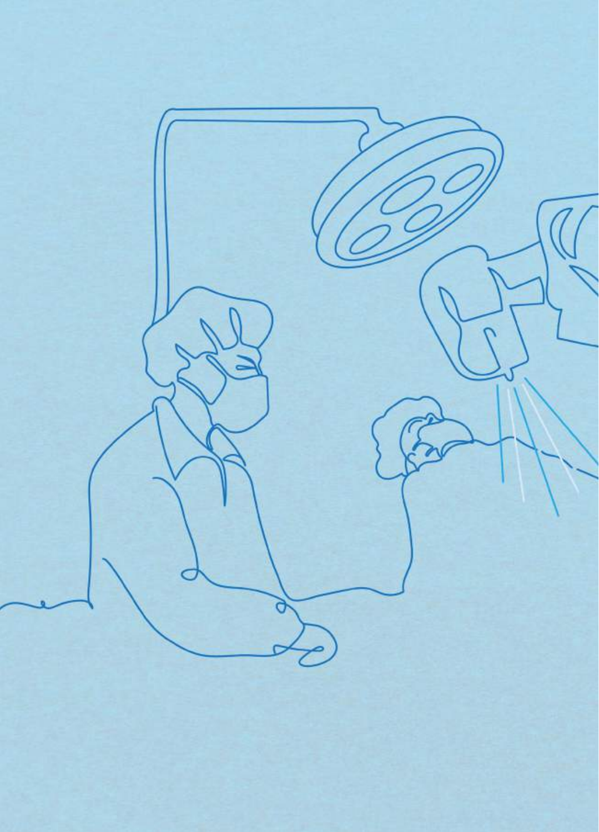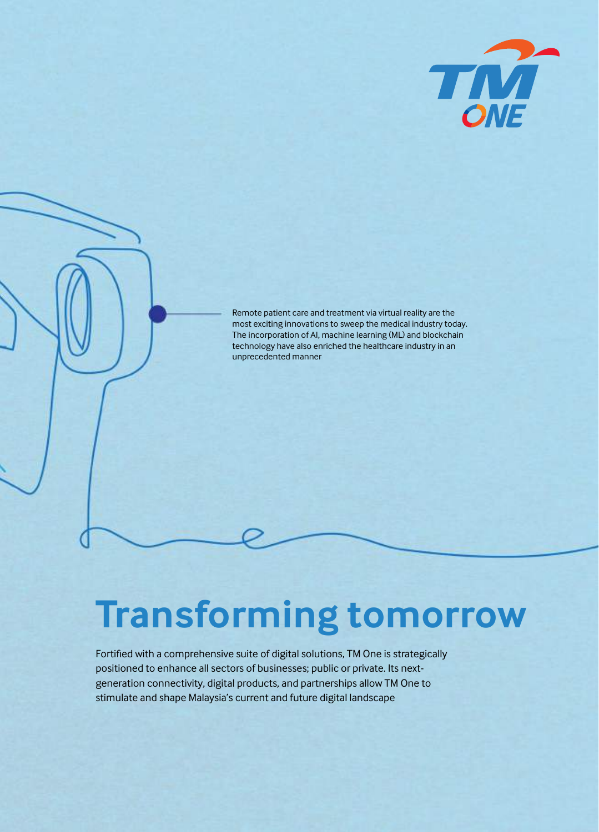

Remote patient care and treatment via virtual reality are the most exciting innovations to sweep the medical industry today. The incorporation of AI, machine learning (ML) and blockchain technology have also enriched the healthcare industry in an unprecedented manner

# **Transforming tomorrow**

Fortified with a comprehensive suite of digital solutions, TM One is strategically positioned to enhance all sectors of businesses; public or private. Its nextgeneration connectivity, digital products, and partnerships allow TM One to stimulate and shape Malaysia's current and future digital landscape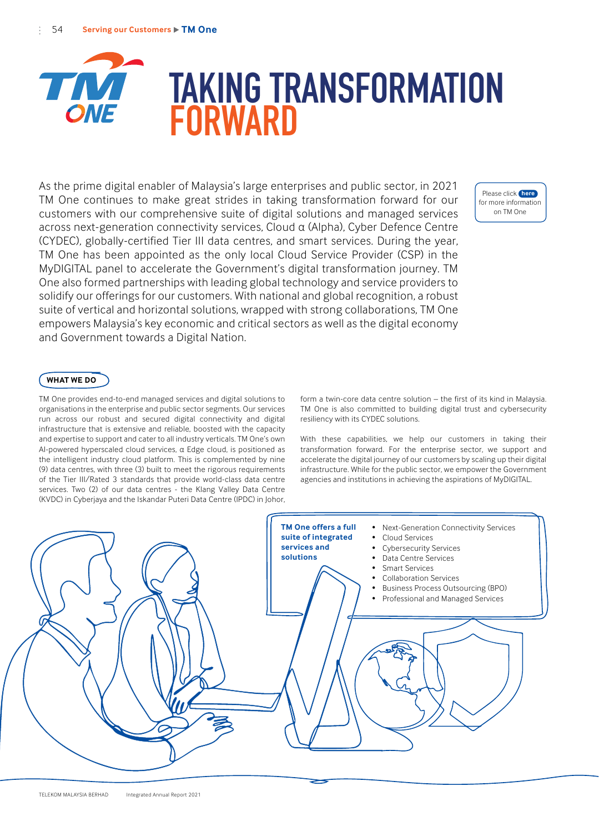

As the prime digital enabler of Malaysia's large enterprises and public sector, in 2021 TM One continues to make great strides in taking transformation forward for our customers with our comprehensive suite of digital solutions and managed services across next-generation connectivity services, Cloud α (Alpha), Cyber Defence Centre (CYDEC), globally-certified Tier III data centres, and smart services. During the year, TM One has been appointed as the only local Cloud Service Provider (CSP) in the MyDIGITAL panel to accelerate the Government's digital transformation journey. TM One also formed partnerships with leading global technology and service providers to solidify our offerings for our customers. With national and global recognition, a robust suite of vertical and horizontal solutions, wrapped with strong collaborations, TM One empowers Malaysia's key economic and critical sectors as well as the digital economy and Government towards a Digital Nation.

#### Please click **here** for more information on TM One

# **WHAT WE DO**

TM One provides end-to-end managed services and digital solutions to organisations in the enterprise and public sector segments. Our services run across our robust and secured digital connectivity and digital infrastructure that is extensive and reliable, boosted with the capacity and expertise to support and cater to all industry verticals. TM One's own AI-powered hyperscaled cloud services, α Edge cloud, is positioned as the intelligent industry cloud platform. This is complemented by nine (9) data centres, with three (3) built to meet the rigorous requirements of the Tier III/Rated 3 standards that provide world-class data centre services. Two (2) of our data centres - the Klang Valley Data Centre (KVDC) in Cyberjaya and the Iskandar Puteri Data Centre (IPDC) in Johor,

form a twin-core data centre solution – the first of its kind in Malaysia. TM One is also committed to building digital trust and cybersecurity resiliency with its CYDEC solutions.

With these capabilities, we help our customers in taking their transformation forward. For the enterprise sector, we support and accelerate the digital journey of our customers by scaling up their digital infrastructure. While for the public sector, we empower the Government agencies and institutions in achieving the aspirations of MyDIGITAL.

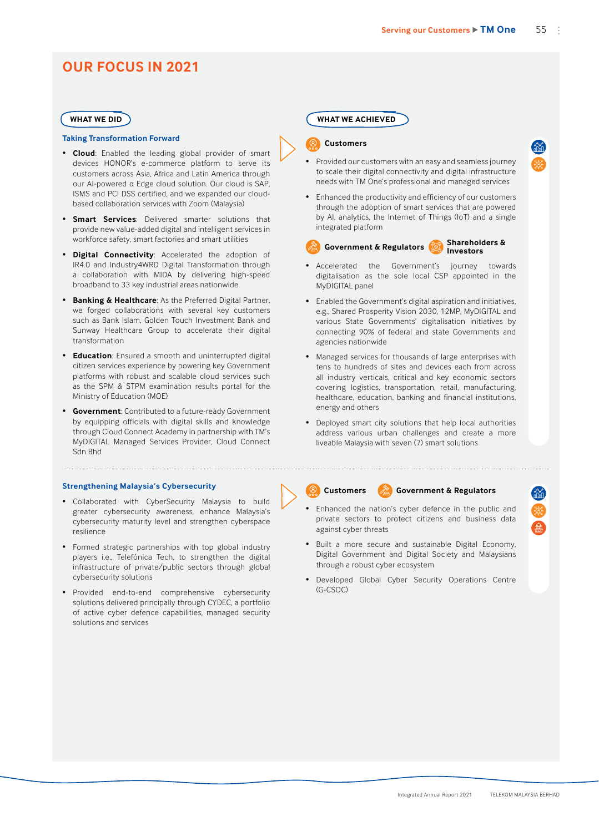# **OUR FOCUS IN 2021**

#### **Taking Transformation Forward**

- **Cloud**: Enabled the leading global provider of smart devices HONOR's e-commerce platform to serve its customers across Asia, Africa and Latin America through our AI-powered α Edge cloud solution. Our cloud is SAP, ISMS and PCI DSS certified, and we expanded our cloudbased collaboration services with Zoom (Malaysia)
- **Smart Services**: Delivered smarter solutions that provide new value-added digital and intelligent services in workforce safety, smart factories and smart utilities
- **Digital Connectivity**: Accelerated the adoption of IR4.0 and Industry4WRD Digital Transformation through a collaboration with MIDA by delivering high-speed broadband to 33 key industrial areas nationwide
- **Banking & Healthcare**: As the Preferred Digital Partner, we forged collaborations with several key customers such as Bank Islam, Golden Touch Investment Bank and Sunway Healthcare Group to accelerate their digital transformation
- **Education**: Ensured a smooth and uninterrupted digital citizen services experience by powering key Government platforms with robust and scalable cloud services such as the SPM & STPM examination results portal for the Ministry of Education (MOE)
- **Government**: Contributed to a future-ready Government by equipping officials with digital skills and knowledge through Cloud Connect Academy in partnership with TM's MyDIGITAL Managed Services Provider, Cloud Connect Sdn Bhd

#### **Strengthening Malaysia's Cybersecurity**

- Collaborated with CyberSecurity Malaysia to build greater cybersecurity awareness, enhance Malaysia's cybersecurity maturity level and strengthen cyberspace resilience
- Formed strategic partnerships with top global industry players i.e., Telefónica Tech, to strengthen the digital infrastructure of private/public sectors through global cybersecurity solutions
- Provided end-to-end comprehensive cybersecurity solutions delivered principally through CYDEC, a portfolio of active cyber defence capabilities, managed security solutions and services

#### **WHAT WE DID WHAT WE ACHIEVED**

#### **Customers**

- Provided our customers with an easy and seamless journey to scale their digital connectivity and digital infrastructure needs with TM One's professional and managed services
- Enhanced the productivity and efficiency of our customers through the adoption of smart services that are powered by AI, analytics, the Internet of Things (IoT) and a single integrated platform



- Accelerated the Government's journey towards digitalisation as the sole local CSP appointed in the MyDIGITAL panel
- Enabled the Government's digital aspiration and initiatives, e.g., Shared Prosperity Vision 2030, 12MP, MyDIGITAL and various State Governments' digitalisation initiatives by connecting 90% of federal and state Governments and agencies nationwide
- Managed services for thousands of large enterprises with tens to hundreds of sites and devices each from across all industry verticals, critical and key economic sectors covering logistics, transportation, retail, manufacturing, healthcare, education, banking and financial institutions, energy and others
- Deployed smart city solutions that help local authorities address various urban challenges and create a more liveable Malaysia with seven (7) smart solutions

#### **Customers Government & Regulators**

- Enhanced the nation's cyber defence in the public and private sectors to protect citizens and business data against cyber threats
- Built a more secure and sustainable Digital Economy, Digital Government and Digital Society and Malaysians through a robust cyber ecosystem
- Developed Global Cyber Security Operations Centre (G-CSOC)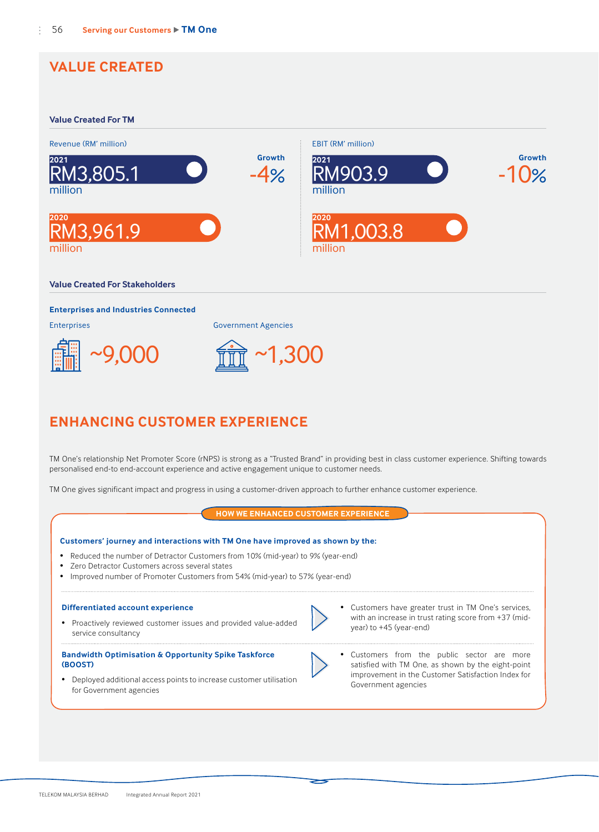# **VALUE CREATED**

### **Value Created For TM**



#### **Value Created For Stakeholders**

#### **Enterprises and Industries Connected**

Enterprises



Government Agencies

# **ENHANCING CUSTOMER EXPERIENCE**

TM One's relationship Net Promoter Score (rNPS) is strong as a "Trusted Brand" in providing best in class customer experience. Shifting towards personalised end-to end-account experience and active engagement unique to customer needs.

TM One gives significant impact and progress in using a customer-driven approach to further enhance customer experience.

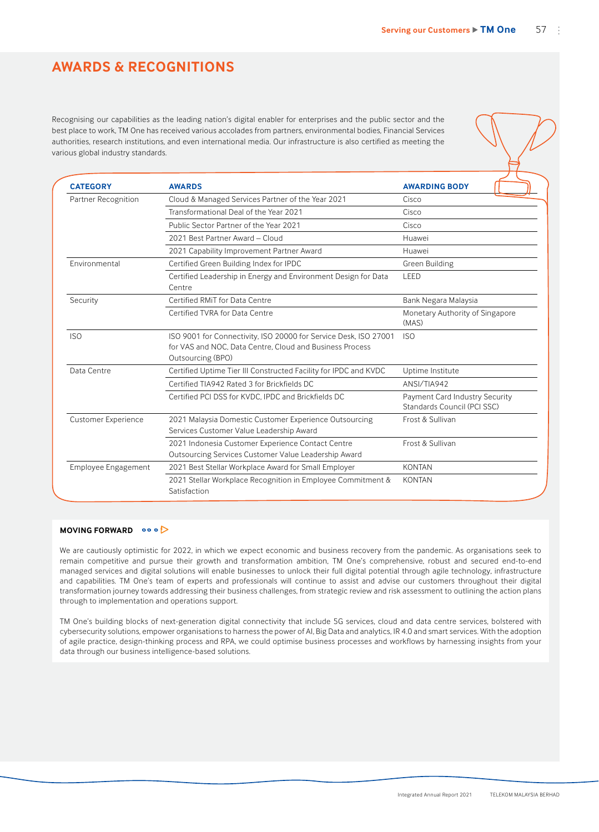# **AWARDS & RECOGNITIONS**

Recognising our capabilities as the leading nation's digital enabler for enterprises and the public sector and the best place to work, TM One has received various accolades from partners, environmental bodies, Financial Services authorities, research institutions, and even international media. Our infrastructure is also certified as meeting the various global industry standards.

| <b>CATEGORY</b>            | <b>AWARDS</b>                                                                                                                                     | <b>AWARDING BODY</b>                                          |  |
|----------------------------|---------------------------------------------------------------------------------------------------------------------------------------------------|---------------------------------------------------------------|--|
| Partner Recognition        | Cloud & Managed Services Partner of the Year 2021                                                                                                 | Cisco                                                         |  |
|                            | Transformational Deal of the Year 2021                                                                                                            | Cisco                                                         |  |
|                            | Public Sector Partner of the Year 2021                                                                                                            | Cisco                                                         |  |
|                            | 2021 Best Partner Award - Cloud                                                                                                                   | Huawei                                                        |  |
|                            | 2021 Capability Improvement Partner Award                                                                                                         | Huawei                                                        |  |
| Environmental              | Certified Green Building Index for IPDC                                                                                                           | Green Building                                                |  |
|                            | Certified Leadership in Energy and Environment Design for Data<br>Centre                                                                          | LEED                                                          |  |
| Security                   | Certified RMIT for Data Centre                                                                                                                    | Bank Negara Malaysia                                          |  |
|                            | Certified TVRA for Data Centre                                                                                                                    | Monetary Authority of Singapore<br>(MAS)                      |  |
| <b>ISO</b>                 | ISO 9001 for Connectivity, ISO 20000 for Service Desk, ISO 27001<br>for VAS and NOC. Data Centre, Cloud and Business Process<br>Outsourcing (BPO) | <b>ISO</b>                                                    |  |
| Data Centre                | Certified Uptime Tier III Constructed Facility for IPDC and KVDC                                                                                  | Uptime Institute                                              |  |
|                            | Certified TIA942 Rated 3 for Brickfields DC                                                                                                       | ANSI/TIA942                                                   |  |
|                            | Certified PCI DSS for KVDC. IPDC and Brickfields DC                                                                                               | Payment Card Industry Security<br>Standards Council (PCI SSC) |  |
| <b>Customer Experience</b> | 2021 Malaysia Domestic Customer Experience Outsourcing<br>Services Customer Value Leadership Award                                                | Frost & Sullivan                                              |  |
|                            | 2021 Indonesia Customer Experience Contact Centre<br>Outsourcing Services Customer Value Leadership Award                                         | Frost & Sullivan                                              |  |
| Employee Engagement        | 2021 Best Stellar Workplace Award for Small Employer                                                                                              | <b>KONTAN</b>                                                 |  |
|                            | 2021 Stellar Workplace Recognition in Employee Commitment &<br>Satisfaction                                                                       | <b>KONTAN</b>                                                 |  |

#### **MOVING FORWARD** 000P

We are cautiously optimistic for 2022, in which we expect economic and business recovery from the pandemic. As organisations seek to remain competitive and pursue their growth and transformation ambition, TM One's comprehensive, robust and secured end-to-end managed services and digital solutions will enable businesses to unlock their full digital potential through agile technology, infrastructure and capabilities. TM One's team of experts and professionals will continue to assist and advise our customers throughout their digital transformation journey towards addressing their business challenges, from strategic review and risk assessment to outlining the action plans through to implementation and operations support.

TM One's building blocks of next-generation digital connectivity that include 5G services, cloud and data centre services, bolstered with cybersecurity solutions, empower organisations to harness the power of AI, Big Data and analytics, IR 4.0 and smart services. With the adoption of agile practice, design-thinking process and RPA, we could optimise business processes and workflows by harnessing insights from your data through our business intelligence-based solutions.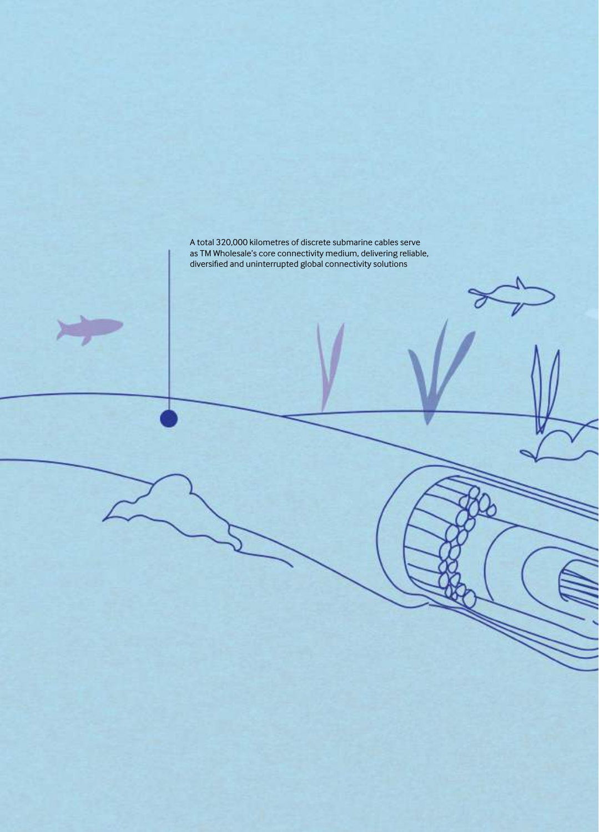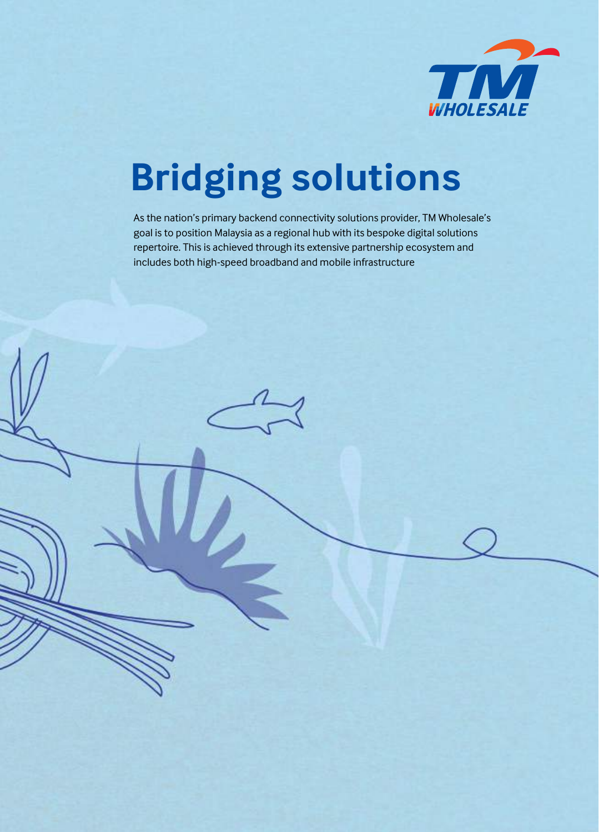

# **Bridging solutions**

As the nation's primary backend connectivity solutions provider, TM Wholesale's goal is to position Malaysia as a regional hub with its bespoke digital solutions repertoire. This is achieved through its extensive partnership ecosystem and includes both high-speed broadband and mobile infrastructure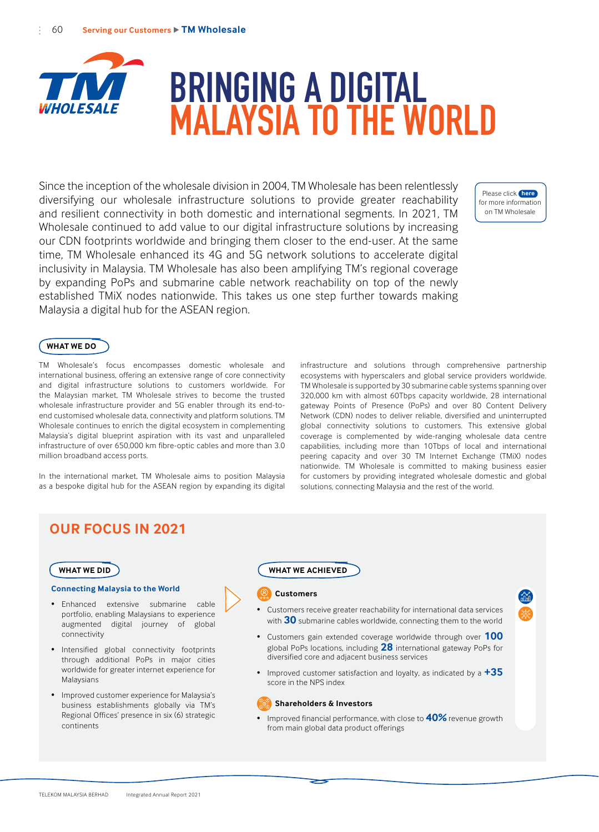# BRINGING A DIGITAL MALAYSIA TO THE WORLD

Since the inception of the wholesale division in 2004, TM Wholesale has been relentlessly diversifying our wholesale infrastructure solutions to provide greater reachability and resilient connectivity in both domestic and international segments. In 2021, TM Wholesale continued to add value to our digital infrastructure solutions by increasing our CDN footprints worldwide and bringing them closer to the end-user. At the same time, TM Wholesale enhanced its 4G and 5G network solutions to accelerate digital inclusivity in Malaysia. TM Wholesale has also been amplifying TM's regional coverage by expanding PoPs and submarine cable network reachability on top of the newly established TMiX nodes nationwide. This takes us one step further towards making Malaysia a digital hub for the ASEAN region.

### **WHAT WE DO**

TM Wholesale's focus encompasses domestic wholesale and international business, offering an extensive range of core connectivity and digital infrastructure solutions to customers worldwide. For the Malaysian market, TM Wholesale strives to become the trusted wholesale infrastructure provider and 5G enabler through its end-toend customised wholesale data, connectivity and platform solutions. TM Wholesale continues to enrich the digital ecosystem in complementing Malaysia's digital blueprint aspiration with its vast and unparalleled infrastructure of over 650,000 km fibre-optic cables and more than 3.0 million broadband access ports.

In the international market, TM Wholesale aims to position Malaysia as a bespoke digital hub for the ASEAN region by expanding its digital infrastructure and solutions through comprehensive partnership ecosystems with hyperscalers and global service providers worldwide. TM Wholesale is supported by 30 submarine cable systems spanning over 320,000 km with almost 60Tbps capacity worldwide, 28 international gateway Points of Presence (PoPs) and over 80 Content Delivery Network (CDN) nodes to deliver reliable, diversified and uninterrupted global connectivity solutions to customers. This extensive global coverage is complemented by wide-ranging wholesale data centre capabilities, including more than 10Tbps of local and international peering capacity and over 30 TM Internet Exchange (TMiX) nodes nationwide. TM Wholesale is committed to making business easier for customers by providing integrated wholesale domestic and global solutions, connecting Malaysia and the rest of the world.

Please click **here** for more information on TM Wholesale

## **OUR FOCUS IN 2021**

#### **Connecting Malaysia to the World**

- Enhanced extensive submarine cable portfolio, enabling Malaysians to experience augmented digital journey of global connectivity
- Intensified global connectivity footprints through additional PoPs in major cities worldwide for greater internet experience for Malaysians
- Improved customer experience for Malaysia's business establishments globally via TM's Regional Offices' presence in six (6) strategic continents

#### **WHAT WE DID WHAT WE ACHIEVED**

#### **Customers**

- Customers receive greater reachability for international data services with **30** submarine cables worldwide, connecting them to the world
- Customers gain extended coverage worldwide through over **100** global PoPs locations, including **28** international gateway PoPs for diversified core and adjacent business services
- Improved customer satisfaction and loyalty, as indicated by a **+35** score in the NPS index

#### **Shareholders & Investors**

• Improved financial performance, with close to **40%** revenue growth from main global data product offerings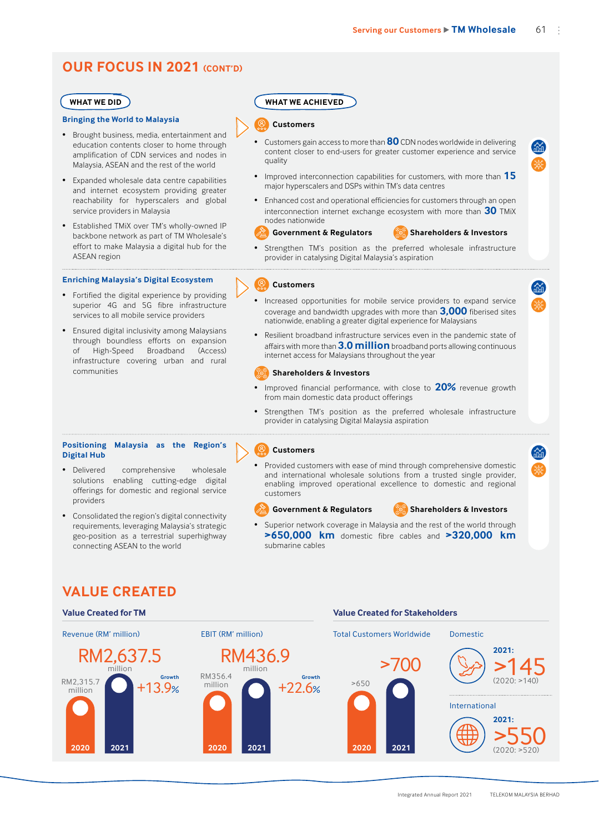# **OUR FOCUS IN 2021 (CONT'D)**

#### **Bringing the World to Malaysia**

- Brought business, media, entertainment and education contents closer to home through amplification of CDN services and nodes in Malaysia, ASEAN and the rest of the world
- Expanded wholesale data centre capabilities and internet ecosystem providing greater reachability for hyperscalers and global service providers in Malaysia
- Established TMiX over TM's wholly-owned IP backbone network as part of TM Wholesale's effort to make Malaysia a digital hub for the ASEAN region

#### **Enriching Malaysia's Digital Ecosystem**

- Fortified the digital experience by providing superior 4G and 5G fibre infrastructure services to all mobile service providers
- Ensured digital inclusivity among Malaysians through boundless efforts on expansion of High-Speed Broadband (Access) infrastructure covering urban and rural communities

#### **WHAT WE DID WHAT WE ACHIEVED**

#### **Customers**

- Customers gain access to more than **80** CDN nodes worldwide in delivering content closer to end-users for greater customer experience and service quality
- Improved interconnection capabilities for customers, with more than **15** major hyperscalers and DSPs within TM's data centres
- Enhanced cost and operational efficiencies for customers through an open interconnection internet exchange ecosystem with more than **30** TMiX nodes nationwide

#### **Government & Regulators Shareholders & Investors**

• Strengthen TM's position as the preferred wholesale infrastructure provider in catalysing Digital Malaysia's aspiration

#### **Customers**

- Increased opportunities for mobile service providers to expand service coverage and bandwidth upgrades with more than **3,000** fiberised sites nationwide, enabling a greater digital experience for Malaysians
- Resilient broadband infrastructure services even in the pandemic state of affairs with more than **3.0 million** broadband ports allowing continuous internet access for Malaysians throughout the year

#### **Shareholders & Investors**

- Improved financial performance, with close to **20%** revenue growth from main domestic data product offerings
- Strengthen TM's position as the preferred wholesale infrastructure provider in catalysing Digital Malaysia aspiration

#### **Positioning Malaysia as the Region's Digital Hub**

- Delivered comprehensive wholesale solutions enabling cutting-edge digital offerings for domestic and regional service providers
- Consolidated the region's digital connectivity requirements, leveraging Malaysia's strategic geo-position as a terrestrial superhighway connecting ASEAN to the world

#### **Customers**

• Provided customers with ease of mind through comprehensive domestic and international wholesale solutions from a trusted single provider, enabling improved operational excellence to domestic and regional customers

#### **Government & Regulators Shareholders & Investors**

Superior network coverage in Malaysia and the rest of the world through **>650,000 km** domestic fibre cables and **>320,000 km** submarine cables

## **VALUE CREATED**

#### **Value Created for TM**

# **Value Created for Stakeholders**

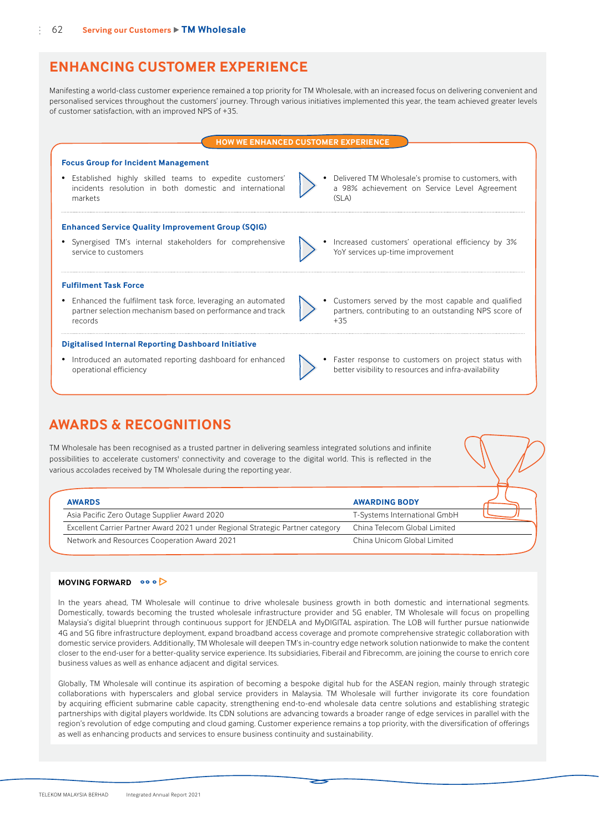# **ENHANCING CUSTOMER EXPERIENCE**

Manifesting a world-class customer experience remained a top priority for TM Wholesale, with an increased focus on delivering convenient and personalised services throughout the customers' journey. Through various initiatives implemented this year, the team achieved greater levels of customer satisfaction, with an improved NPS of +35.

|                                                                                                                                      | <b>HOW WE ENHANCED CUSTOMER EXPERIENCE</b>                                                                           |
|--------------------------------------------------------------------------------------------------------------------------------------|----------------------------------------------------------------------------------------------------------------------|
| <b>Focus Group for Incident Management</b>                                                                                           |                                                                                                                      |
| Established highly skilled teams to expedite customers'<br>incidents resolution in both domestic and international<br>markets        | Delivered TM Wholesale's promise to customers, with<br>a 98% achievement on Service Level Agreement<br>(SLA)         |
| <b>Enhanced Service Quality Improvement Group (SQIG)</b>                                                                             |                                                                                                                      |
| • Synergised TM's internal stakeholders for comprehensive<br>service to customers                                                    | Increased customers' operational efficiency by 3%<br>YoY services up-time improvement                                |
| <b>Fulfilment Task Force</b>                                                                                                         |                                                                                                                      |
| Enhanced the fulfilment task force, leveraging an automated<br>partner selection mechanism based on performance and track<br>records | Customers served by the most capable and qualified<br>partners, contributing to an outstanding NPS score of<br>$+35$ |
| <b>Digitalised Internal Reporting Dashboard Initiative</b>                                                                           |                                                                                                                      |
| Introduced an automated reporting dashboard for enhanced<br>operational efficiency                                                   | Faster response to customers on project status with<br>better visibility to resources and infra-availability         |

# **AWARDS & RECOGNITIONS**

TM Wholesale has been recognised as a trusted partner in delivering seamless integrated solutions and infinite possibilities to accelerate customers' connectivity and coverage to the digital world. This is reflected in the various accolades received by TM Wholesale during the reporting year.

| <b>AWARDING BODY</b>         |  |
|------------------------------|--|
| T-Systems International GmbH |  |
| China Telecom Global Limited |  |
| China Unicom Global Limited  |  |
|                              |  |

#### **MOVING FORWARD** 000P

In the years ahead, TM Wholesale will continue to drive wholesale business growth in both domestic and international segments. Domestically, towards becoming the trusted wholesale infrastructure provider and 5G enabler, TM Wholesale will focus on propelling Malaysia's digital blueprint through continuous support for JENDELA and MyDIGITAL aspiration. The LOB will further pursue nationwide 4G and 5G fibre infrastructure deployment, expand broadband access coverage and promote comprehensive strategic collaboration with domestic service providers. Additionally, TM Wholesale will deepen TM's in-country edge network solution nationwide to make the content closer to the end-user for a better-quality service experience. Its subsidiaries, Fiberail and Fibrecomm, are joining the course to enrich core business values as well as enhance adjacent and digital services.

Globally, TM Wholesale will continue its aspiration of becoming a bespoke digital hub for the ASEAN region, mainly through strategic collaborations with hyperscalers and global service providers in Malaysia. TM Wholesale will further invigorate its core foundation by acquiring efficient submarine cable capacity, strengthening end-to-end wholesale data centre solutions and establishing strategic partnerships with digital players worldwide. Its CDN solutions are advancing towards a broader range of edge services in parallel with the region's revolution of edge computing and cloud gaming. Customer experience remains a top priority, with the diversification of offerings as well as enhancing products and services to ensure business continuity and sustainability.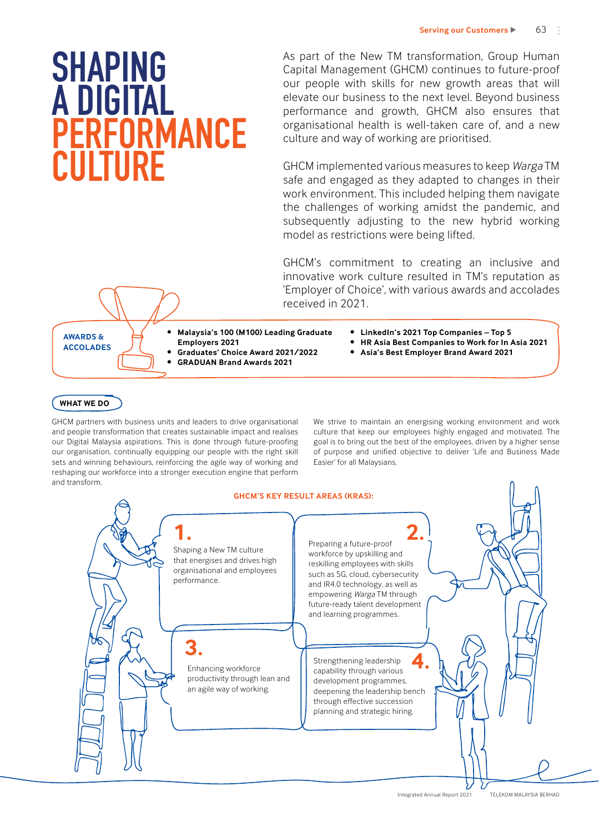# SHAPING A DIGITAL PERFORMANCE **CILITIIRE**

As part of the New TM transformation, Group Human Capital Management (GHCM) continues to future-proof our people with skills for new growth areas that will elevate our business to the next level. Beyond business performance and growth, GHCM also ensures that organisational health is well-taken care of, and a new culture and way of working are prioritised.

GHCM implemented various measures to keep *Warga* TM safe and engaged as they adapted to changes in their work environment. This included helping them navigate the challenges of working amidst the pandemic, and subsequently adjusting to the new hybrid working model as restrictions were being lifted.

GHCM's commitment to creating an inclusive and innovative work culture resulted in TM's reputation as 'Employer of Choice', with various awards and accolades received in 2021.

**AWARDS & ACCOLADES**

- **• Malaysia's 100 (M100) Leading Graduate**
- 
- 
- **Employers 2021 • Graduates' Choice Award 2021/2022**
- **• GRADUAN Brand Awards 2021**
- 
- **• LinkedIn's 2021 Top Companies Top 5**
- **• HR Asia Best Companies to Work for In Asia 2021**
- **• Asia's Best Employer Brand Award 2021**

## **WHAT WE DO**

GHCM partners with business units and leaders to drive organisational and people transformation that creates sustainable impact and realises our Digital Malaysia aspirations. This is done through future-proofing our organisation, continually equipping our people with the right skill sets and winning behaviours, reinforcing the agile way of working and reshaping our workforce into a stronger execution engine that perform and transform.

We strive to maintain an energising working environment and work culture that keep our employees highly engaged and motivated. The goal is to bring out the best of the employees, driven by a higher sense of purpose and unified objective to deliver 'Life and Business Made Easier' for all Malaysians.



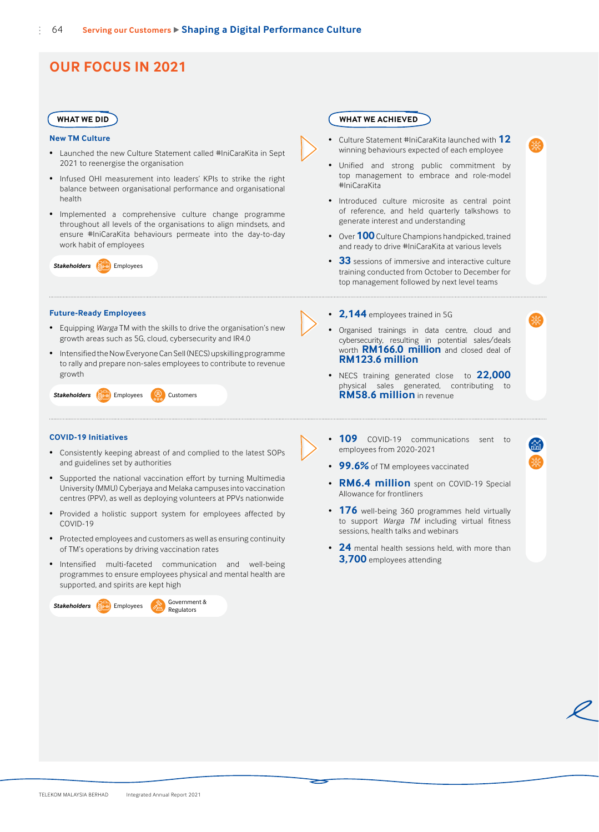# **OUR FOCUS IN 2021**

#### **New TM Culture**

- Launched the new Culture Statement called #IniCaraKita in Sept 2021 to reenergise the organisation
- Infused OHI measurement into leaders' KPIs to strike the right balance between organisational performance and organisational health
- Implemented a comprehensive culture change programme throughout all levels of the organisations to align mindsets, and ensure #IniCaraKita behaviours permeate into the day-to-day work habit of employees

**Stakeholders Employees** 

#### **Future-Ready Employees**

- Equipping *Warga* TM with the skills to drive the organisation's new growth areas such as 5G, cloud, cybersecurity and IR4.0
- Intensified the Now Everyone Can Sell (NECS) upskilling programme to rally and prepare non-sales employees to contribute to revenue growth

| <b>Stakeholders</b> | $\left(\frac{1}{2}e^{i\theta}\right)$ Employees |  | $\sim$ (8) Customers |  |
|---------------------|-------------------------------------------------|--|----------------------|--|
|---------------------|-------------------------------------------------|--|----------------------|--|

#### **COVID-19 Initiatives**

- Consistently keeping abreast of and complied to the latest SOPs and guidelines set by authorities
- Supported the national vaccination effort by turning Multimedia University (MMU) Cyberjaya and Melaka campuses into vaccination centres (PPV), as well as deploying volunteers at PPVs nationwide
- Provided a holistic support system for employees affected by COVID-19
- Protected employees and customers as well as ensuring continuity of TM's operations by driving vaccination rates
- Intensified multi-faceted communication and well-being programmes to ensure employees physical and mental health are supported, and spirits are kept high

**Stakeholders Cover Employees Covernment & Regulators** 

#### **WHAT WE DID WHAT WE ACHIEVED**

- Culture Statement #IniCaraKita launched with **12** winning behaviours expected of each employee
- Unified and strong public commitment by top management to embrace and role-model #IniCaraKita
- Introduced culture microsite as central point of reference, and held quarterly talkshows to generate interest and understanding
- Over **100** Culture Champions handpicked, trained and ready to drive #IniCaraKita at various levels
- **33** sessions of immersive and interactive culture training conducted from October to December for top management followed by next level teams
- **2,144** employees trained in 5G
- Organised trainings in data centre, cloud and cybersecurity, resulting in potential sales/deals worth **RM166.0 million** and closed deal of **RM123.6 million**
- NECS training generated close to **22,000** physical sales generated, contributing to **RM58.6 million** in revenue
- 109 COVID-19 communications sent to employees from 2020-2021
- **99.6%** of TM employees vaccinated
- **RM6.4 million** spent on COVID-19 Special Allowance for frontliners
- **176** well-being 360 programmes held virtually to support *Warga TM* including virtual fitness sessions, health talks and webinars
- **24** mental health sessions held, with more than **3,700** employees attending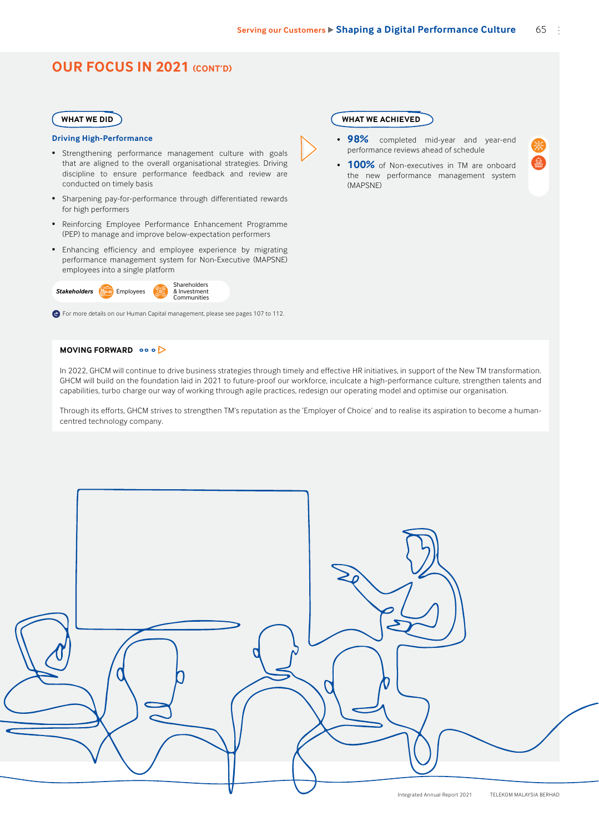## **OUR FOCUS IN 2021 (CONT'D)**

#### **WHAT WE DID WHAT WE ACHIEVED**

#### **Driving High-Performance**

- Strengthening performance management culture with goals that are aligned to the overall organisational strategies. Driving discipline to ensure performance feedback and review are conducted on timely basis
- Sharpening pay-for-performance through differentiated rewards for high performers
- Reinforcing Employee Performance Enhancement Programme (PEP) to manage and improve below-expectation performers
- Enhancing efficiency and employee experience by migrating performance management system for Non-Executive (MAPSNE) employees into a single platform



For more details on our Human Capital management, please see pages 107 to 112.

#### **MOVING FORWARD** 000

In 2022, GHCM will continue to drive business strategies through timely and effective HR initiatives, in support of the New TM transformation. GHCM will build on the foundation laid in 2021 to future-proof our workforce, inculcate a high-performance culture, strengthen talents and capabilities, turbo charge our way of working through agile practices, redesign our operating model and optimise our organisation.

Through its efforts, GHCM strives to strengthen TM's reputation as the 'Employer of Choice' and to realise its aspiration to become a humancentred technology company.



- **98%** completed mid-year and year-end performance reviews ahead of schedule
- 100% of Non-executives in TM are onboard the new performance management system (MAPSNE)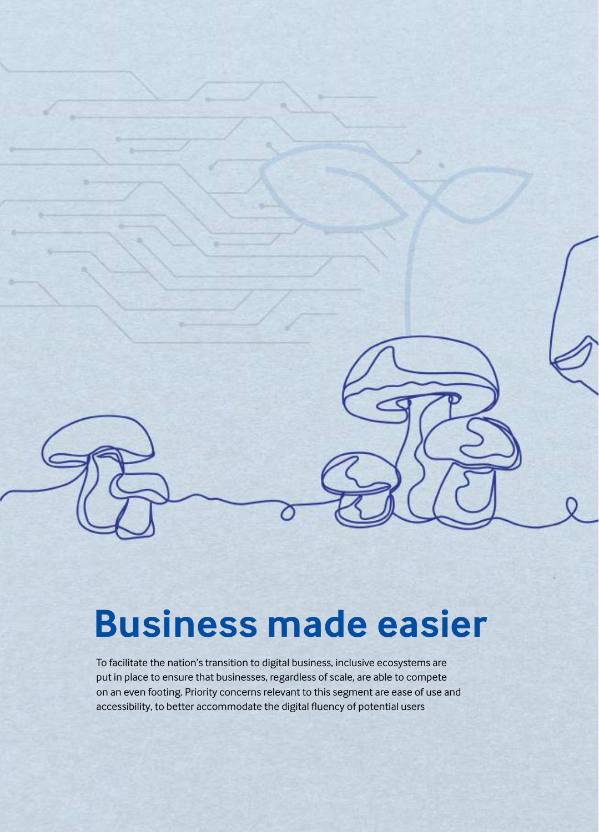# **Business made easier**

O

To facilitate the nation's transition to digital business, inclusive ecosystems are put in place to ensure that businesses, regardless of scale, are able to compete on an even footing. Priority concerns relevant to this segment are ease of use and accessibility, to better accommodate the digital fluency of potential users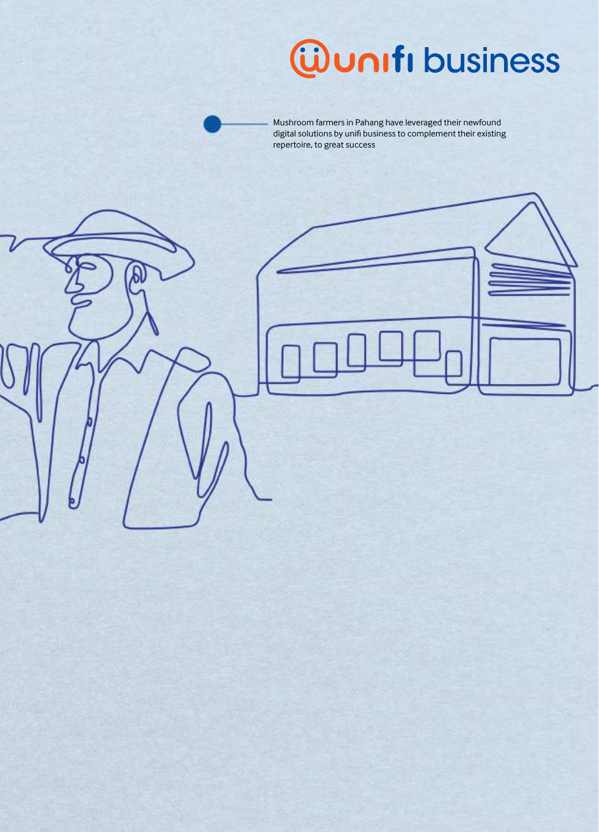# **Wunifi business**

Ы

Mushroom farmers in Pahang have leveraged their newfound digital solutions by unifi business to complement their existing repertoire, to great success

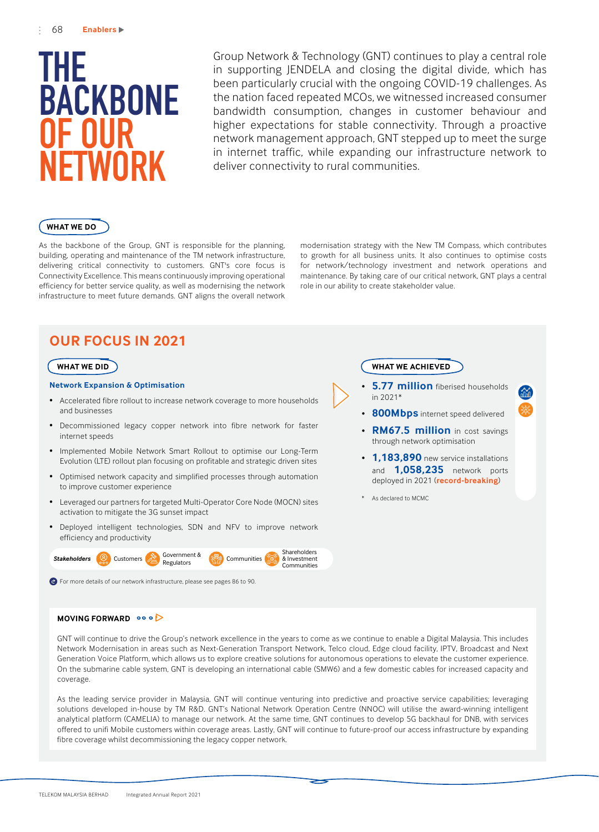# THE **BACKBONE** OF OUR FTWORK

Group Network & Technology (GNT) continues to play a central role in supporting JENDELA and closing the digital divide, which has been particularly crucial with the ongoing COVID-19 challenges. As the nation faced repeated MCOs, we witnessed increased consumer bandwidth consumption, changes in customer behaviour and higher expectations for stable connectivity. Through a proactive network management approach, GNT stepped up to meet the surge in internet traffic, while expanding our infrastructure network to deliver connectivity to rural communities.

### **WHAT WE DO**

As the backbone of the Group, GNT is responsible for the planning, building, operating and maintenance of the TM network infrastructure, delivering critical connectivity to customers. GNT's core focus is Connectivity Excellence. This means continuously improving operational efficiency for better service quality, as well as modernising the network infrastructure to meet future demands. GNT aligns the overall network

modernisation strategy with the New TM Compass, which contributes to growth for all business units. It also continues to optimise costs for network/technology investment and network operations and maintenance. By taking care of our critical network, GNT plays a central role in our ability to create stakeholder value.

# **OUR FOCUS IN 2021**

#### **Network Expansion & Optimisation**

- Accelerated fibre rollout to increase network coverage to more households and businesses
- Decommissioned legacy copper network into fibre network for faster internet speeds
- Implemented Mobile Network Smart Rollout to optimise our Long-Term Evolution (LTE) rollout plan focusing on profitable and strategic driven sites
- Optimised network capacity and simplified processes through automation to improve customer experience
- Leveraged our partners for targeted Multi-Operator Core Node (MOCN) sites activation to mitigate the 3G sunset impact
- Deployed intelligent technologies, SDN and NFV to improve network efficiency and productivity



For more details of our network infrastructure, please see pages 86 to 90.

### WHAT WE DID **WHAT WE DID**

- **5.77 million** fiberised households in 2021\*
- **800Mbps** internet speed delivered
- **RM67.5 million** in cost savings through network optimisation
- **1,183,890** new service installations and **1,058,235** network ports deployed in 2021 (**record-breaking**)
- \* As declared to MCMC

### **MOVING FORWARD 0000**

GNT will continue to drive the Group's network excellence in the years to come as we continue to enable a Digital Malaysia. This includes Network Modernisation in areas such as Next-Generation Transport Network, Telco cloud, Edge cloud facility, IPTV, Broadcast and Next Generation Voice Platform, which allows us to explore creative solutions for autonomous operations to elevate the customer experience. On the submarine cable system, GNT is developing an international cable (SMW6) and a few domestic cables for increased capacity and coverage.

As the leading service provider in Malaysia, GNT will continue venturing into predictive and proactive service capabilities; leveraging solutions developed in-house by TM R&D. GNT's National Network Operation Centre (NNOC) will utilise the award-winning intelligent analytical platform (CAMELIA) to manage our network. At the same time, GNT continues to develop 5G backhaul for DNB, with services offered to unifi Mobile customers within coverage areas. Lastly, GNT will continue to future-proof our access infrastructure by expanding fibre coverage whilst decommissioning the legacy copper network.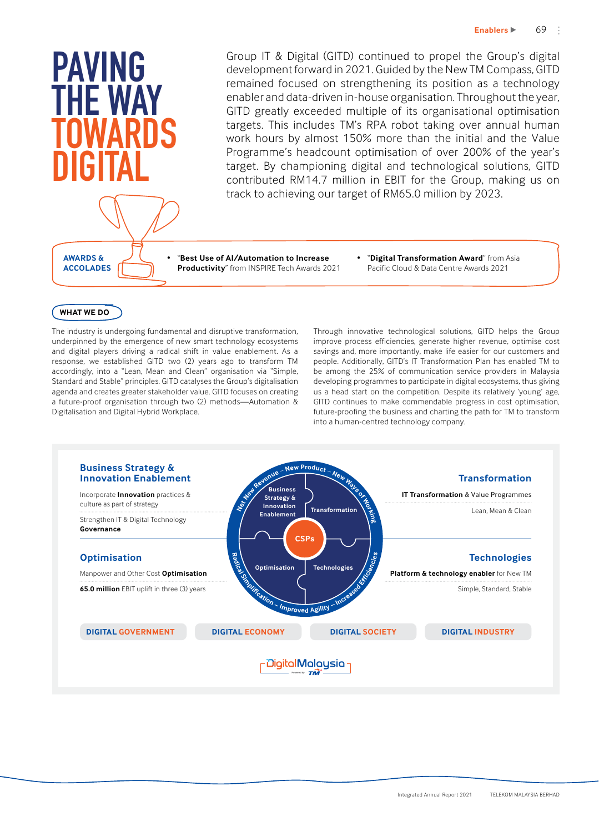

Group IT & Digital (GITD) continued to propel the Group's digital development forward in 2021. Guided by the New TM Compass, GITD remained focused on strengthening its position as a technology enabler and data-driven in-house organisation. Throughout the year, GITD greatly exceeded multiple of its organisational optimisation targets. This includes TM's RPA robot taking over annual human work hours by almost 150% more than the initial and the Value Programme's headcount optimisation of over 200% of the year's target. By championing digital and technological solutions, GITD contributed RM14.7 million in EBIT for the Group, making us on track to achieving our target of RM65.0 million by 2023.

• "**Best Use of AI/Automation to Increase Productivity**" from INSPIRE Tech Awards 2021 • "**Digital Transformation Award**" from Asia Pacific Cloud & Data Centre Awards 2021

### **WHAT WE DO**

The industry is undergoing fundamental and disruptive transformation, underpinned by the emergence of new smart technology ecosystems and digital players driving a radical shift in value enablement. As a response, we established GITD two (2) years ago to transform TM accordingly, into a "Lean, Mean and Clean" organisation via "Simple, Standard and Stable" principles. GITD catalyses the Group's digitalisation agenda and creates greater stakeholder value. GITD focuses on creating a future-proof organisation through two (2) methods—Automation & Digitalisation and Digital Hybrid Workplace.

Through innovative technological solutions, GITD helps the Group improve process efficiencies, generate higher revenue, optimise cost savings and, more importantly, make life easier for our customers and people. Additionally, GITD's IT Transformation Plan has enabled TM to be among the 25% of communication service providers in Malaysia developing programmes to participate in digital ecosystems, thus giving us a head start on the competition. Despite its relatively 'young' age, GITD continues to make commendable progress in cost optimisation, future-proofing the business and charting the path for TM to transform into a human-centred technology company.

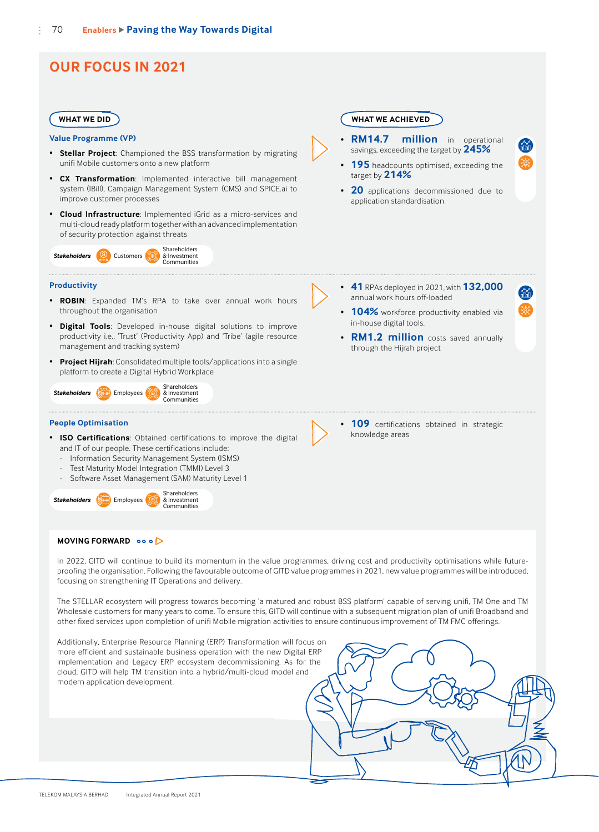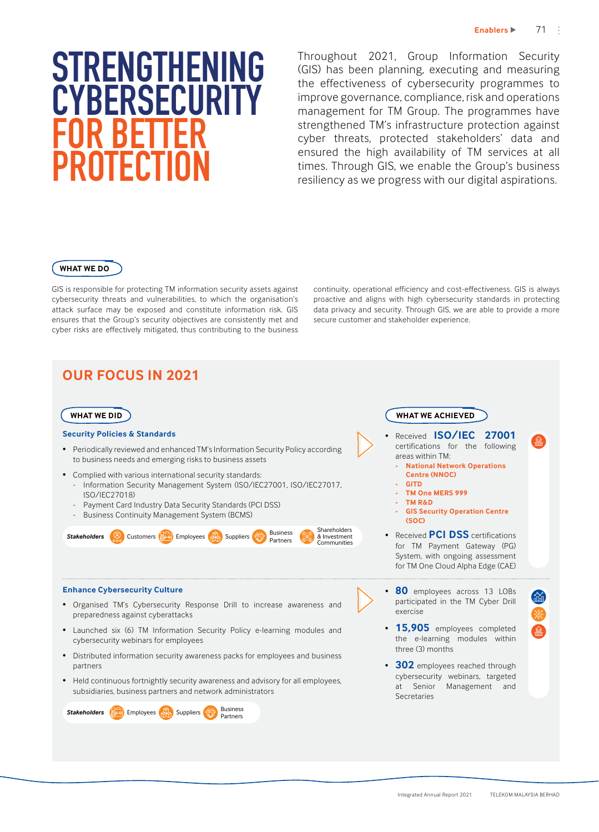# STRENGTHENING CYBERSECURITY **FOR BETTER** PROTECTION

Throughout 2021, Group Information Security (GIS) has been planning, executing and measuring the effectiveness of cybersecurity programmes to improve governance, compliance, risk and operations management for TM Group. The programmes have strengthened TM's infrastructure protection against cyber threats, protected stakeholders' data and ensured the high availability of TM services at all times. Through GIS, we enable the Group's business resiliency as we progress with our digital aspirations.

### **WHAT WE DO**

GIS is responsible for protecting TM information security assets against cybersecurity threats and vulnerabilities, to which the organisation's attack surface may be exposed and constitute information risk. GIS ensures that the Group's security objectives are consistently met and cyber risks are effectively mitigated, thus contributing to the business continuity, operational efficiency and cost-effectiveness. GIS is always proactive and aligns with high cybersecurity standards in protecting data privacy and security. Through GIS, we are able to provide a more secure customer and stakeholder experience.

# **OUR FOCUS IN 2021**

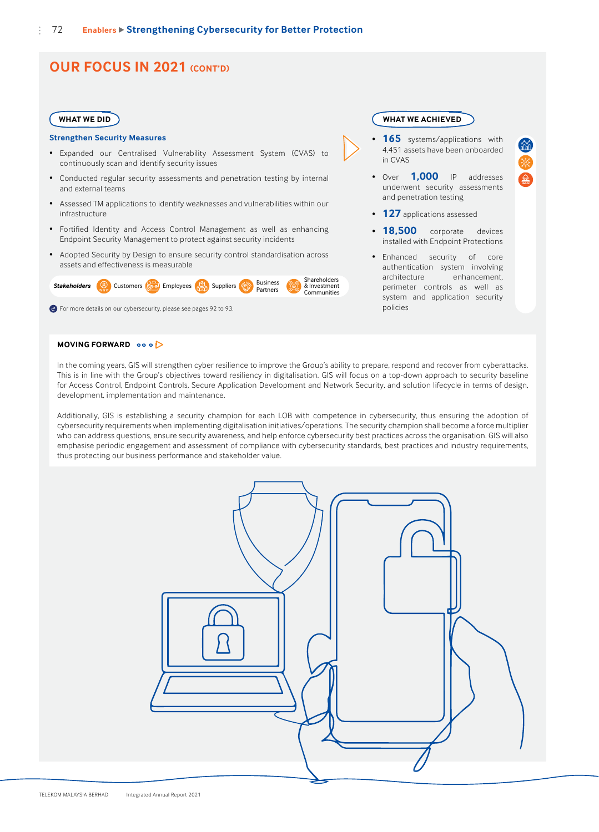## **OUR FOCUS IN 2021 (CONT'D)**

### **WHAT WE DID WHAT WE ACHIEVED**

#### **Strengthen Security Measures**

- Expanded our Centralised Vulnerability Assessment System (CVAS) to continuously scan and identify security issues
- Conducted regular security assessments and penetration testing by internal and external teams
- Assessed TM applications to identify weaknesses and vulnerabilities within our infrastructure
- Fortified Identity and Access Control Management as well as enhancing Endpoint Security Management to protect against security incidents
- Adopted Security by Design to ensure security control standardisation across assets and effectiveness is measurable



For more details on our cybersecurity, please see pages 92 to 93.

#### **MOVING FORWARD** 000P

In the coming years, GIS will strengthen cyber resilience to improve the Group's ability to prepare, respond and recover from cyberattacks. This is in line with the Group's objectives toward resiliency in digitalisation. GIS will focus on a top-down approach to security baseline for Access Control, Endpoint Controls, Secure Application Development and Network Security, and solution lifecycle in terms of design, development, implementation and maintenance.

Additionally, GIS is establishing a security champion for each LOB with competence in cybersecurity, thus ensuring the adoption of cybersecurity requirements when implementing digitalisation initiatives/operations. The security champion shall become a force multiplier who can address questions, ensure security awareness, and help enforce cybersecurity best practices across the organisation. GIS will also emphasise periodic engagement and assessment of compliance with cybersecurity standards, best practices and industry requirements, thus protecting our business performance and stakeholder value.





165 systems/applications with 4,451 assets have been onboarded

• Over **1,000** IP addresses underwent security assessments

18,500 corporate devices installed with Endpoint Protections • Enhanced security of core authentication system involving architecture enhancement, perimeter controls as well as system and application security

and penetration testing • **127** applications assessed

in CVAS

policies